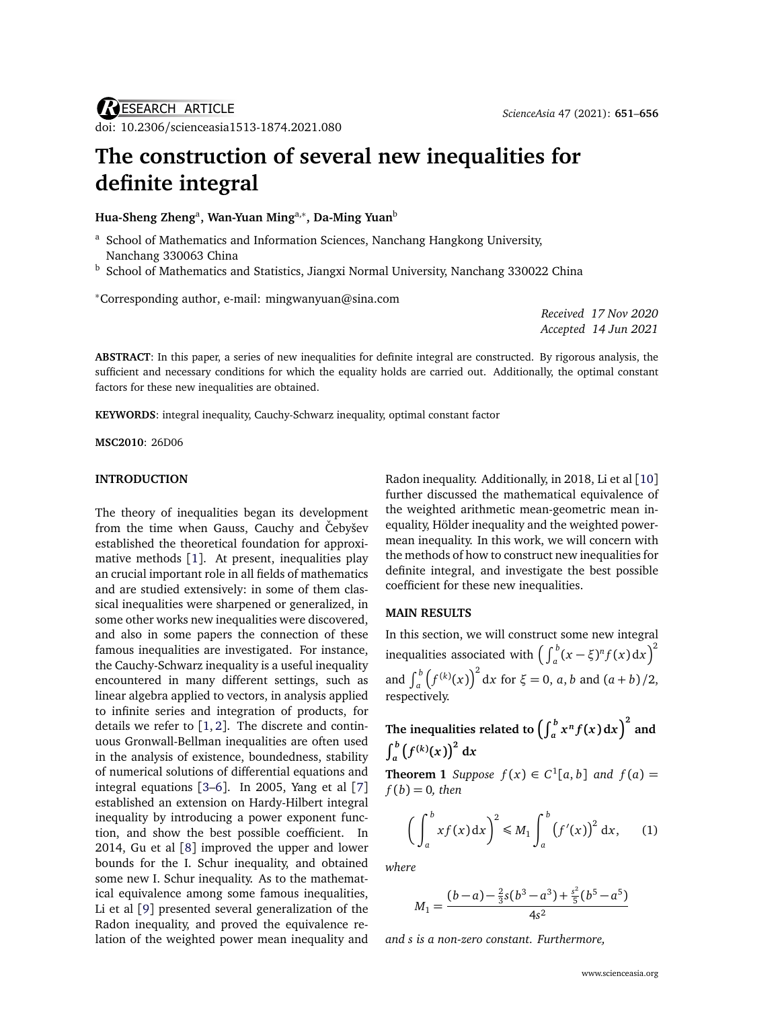# **The construction of several new inequalities for definite integral**

**Hua-Sheng Zheng**<sup>a</sup> **, Wan-Yuan Ming**a,<sup>∗</sup> **, Da-Ming Yuan**<sup>b</sup>

- <sup>a</sup> School of Mathematics and Information Sciences, Nanchang Hangkong University, Nanchang 330063 China
- b School of Mathematics and Statistics, Jiangxi Normal University, Nanchang 330022 China

<sup>∗</sup>Corresponding author, e-mail: [mingwanyuan@sina.com](mailto:mingwanyuan@sina.com)

*Received 17 Nov 2020 Accepted 14 Jun 2021*

**ABSTRACT**: In this paper, a series of new inequalities for definite integral are constructed. By rigorous analysis, the sufficient and necessary conditions for which the equality holds are carried out. Additionally, the optimal constant factors for these new inequalities are obtained.

**KEYWORDS**: integral inequality, Cauchy-Schwarz inequality, optimal constant factor

**MSC2010**: 26D06

## **INTRODUCTION**

The theory of inequalities began its development from the time when Gauss, Cauchy and Čebyšev established the theoretical foundation for approximative methods [[1](#page-5-0)]. At present, inequalities play an crucial important role in all fields of mathematics and are studied extensively: in some of them classical inequalities were sharpened or generalized, in some other works new inequalities were discovered, and also in some papers the connection of these famous inequalities are investigated. For instance, the Cauchy-Schwarz inequality is a useful inequality encountered in many different settings, such as linear algebra applied to vectors, in analysis applied to infinite series and integration of products, for details we refer to  $[1, 2]$  $[1, 2]$  $[1, 2]$  $[1, 2]$  $[1, 2]$ . The discrete and continuous Gronwall-Bellman inequalities are often used in the analysis of existence, boundedness, stability of numerical solutions of differential equations and integral equations [[3](#page-5-2)[–6](#page-5-3)]. In 2005, Yang et al [[7](#page-5-4)] established an extension on Hardy-Hilbert integral inequality by introducing a power exponent function, and show the best possible coefficient. In 2014, Gu et al [[8](#page-5-5)] improved the upper and lower bounds for the I. Schur inequality, and obtained some new I. Schur inequality. As to the mathematical equivalence among some famous inequalities, Li et al [[9](#page-5-6)] presented several generalization of the Radon inequality, and proved the equivalence relation of the weighted power mean inequality and Radon inequality. Additionally, in 2018, Li et al [[10](#page-5-7)] further discussed the mathematical equivalence of the weighted arithmetic mean-geometric mean inequality, Hölder inequality and the weighted powermean inequality. In this work, we will concern with the methods of how to construct new inequalities for definite integral, and investigate the best possible coefficient for these new inequalities.

#### **MAIN RESULTS**

In this section, we will construct some new integral inequalities associated with  $\left(\int_a^b (x-\xi)^n f(x) \mathrm{d}x\right)^2$ and  $\int_{a}^{b} (f^{(k)}(x))^{2} dx$  for  $\xi = 0$ , *a*, *b* and  $(a + b)/2$ , respectively.

The inequalities related to  $\left(\int_a^b x^n f(x) \,\mathrm{d}x\right)^2$  and  $\int_{a}^{b} (f^{(k)}(x))^{2} dx$ 

<span id="page-0-1"></span>**Theorem 1** *Suppose*  $f(x) \in C^1[a, b]$  *and*  $f(a) =$  $f(b) = 0$ *, then* 

<span id="page-0-0"></span>
$$
\left(\int_a^b x f(x) dx\right)^2 \le M_1 \int_a^b \left(f'(x)\right)^2 dx, \qquad (1)
$$

*where*

$$
M_1 = \frac{(b-a) - \frac{2}{3}s(b^3 - a^3) + \frac{s^2}{5}(b^5 - a^5)}{4s^2}
$$

*and s is a non-zero constant. Furthermore,*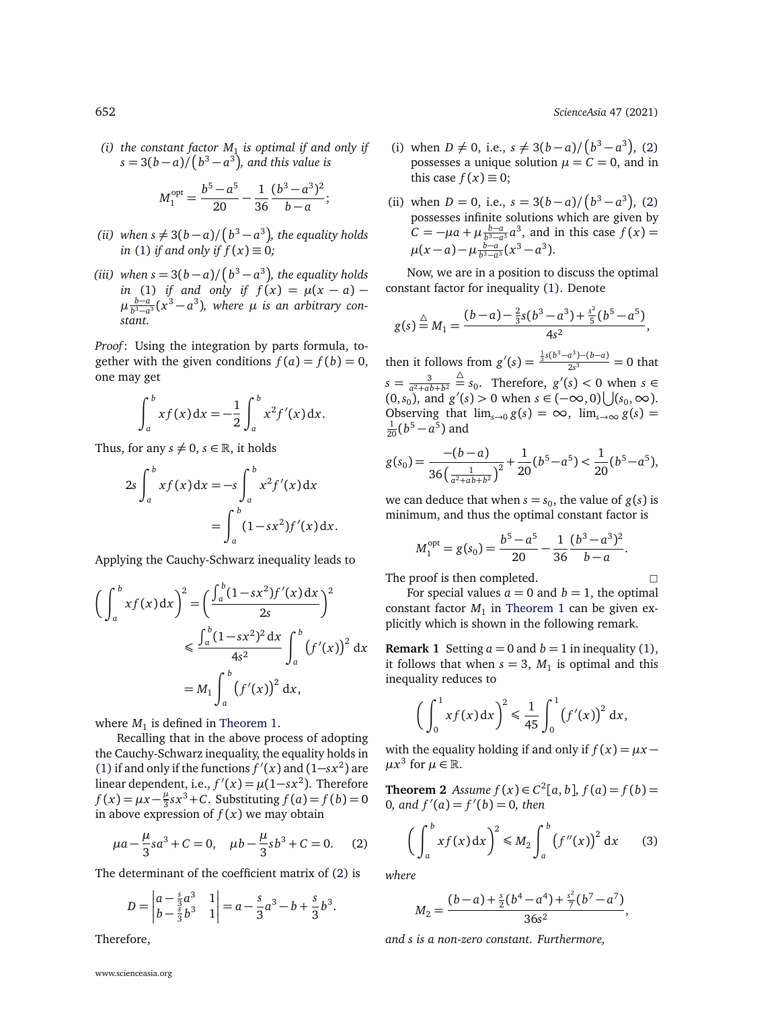*(i)* the constant factor  $M_1$  is optimal if and only if  $s = 3(b-a)/(b^3-a^3)$ , and this value is

$$
M_1^{\text{opt}} = \frac{b^5 - a^5}{20} - \frac{1}{36} \frac{(b^3 - a^3)^2}{b - a};
$$

- *(ii)* when  $s \neq 3(b-a)/(b^3-a^3)$ , the equality holds *in* [\(1\)](#page-0-0) *if and only if*  $\hat{f}(x) \equiv 0$ *;*
- *(iii)* when  $s = 3(b-a)/(b^3-a^3)$ , the equality holds *in* [\(1\)](#page-0-0) *if and only if*  $f(x) = \mu(x - a) \mu \frac{b-a}{b^3-a^3}(x^3-a^3)$ , where  $\mu$  *is an arbitrary constant.*

*Proof*: Using the integration by parts formula, together with the given conditions  $f(a) = f(b) = 0$ , one may get

$$
\int_{a}^{b} x f(x) dx = -\frac{1}{2} \int_{a}^{b} x^{2} f'(x) dx.
$$

Thus, for any  $s \neq 0$ ,  $s \in \mathbb{R}$ , it holds

$$
2s \int_{a}^{b} x f(x) dx = -s \int_{a}^{b} x^{2} f'(x) dx
$$
  
= 
$$
\int_{a}^{b} (1 - sx^{2}) f'(x) dx.
$$

Applying the Cauchy-Schwarz inequality leads to

$$
\left(\int_{a}^{b} x f(x) dx\right)^{2} = \left(\frac{\int_{a}^{b} (1 - sx^{2}) f'(x) dx}{2s}\right)^{2}
$$
  

$$
\leq \frac{\int_{a}^{b} (1 - sx^{2})^{2} dx}{4s^{2}} \int_{a}^{b} (f'(x))^{2} dx
$$
  

$$
= M_{1} \int_{a}^{b} (f'(x))^{2} dx,
$$

where  $M_1$  is defined in [Theorem 1.](#page-0-1)

Recalling that in the above process of adopting the Cauchy-Schwarz inequality, the equality holds in [\(1\)](#page-0-0) if and only if the functions  $f'(x)$  and  $(1-sx^2)$  are linear dependent, i.e.,  $f'(x) = \mu(1-sx^2)$ . Therefore  $f(x) = \mu x - \frac{\mu}{3}$  $\frac{\mu}{3}$ s $x^3$ +*C*. Substituting  $f(a) = f(b) = 0$ in above expression of  $f(x)$  we may obtain

<span id="page-1-0"></span>
$$
\mu a - \frac{\mu}{3} s a^3 + C = 0, \quad \mu b - \frac{\mu}{3} s b^3 + C = 0. \tag{2}
$$

The determinant of the coefficient matrix of [\(2\)](#page-1-0) is

$$
D = \begin{vmatrix} a - \frac{5}{3}a^3 & 1 \\ b - \frac{5}{3}b^3 & 1 \end{vmatrix} = a - \frac{5}{3}a^3 - b + \frac{5}{3}b^3.
$$

Therefore,

- (i) when  $D \neq 0$ , i.e.,  $s \neq 3(b-a)/(b^3-a^3)$ , [\(2\)](#page-1-0) possesses a unique solution  $\mu = C = 0$ , and in this case  $f(x) \equiv 0$ ;
- (ii) when  $D = 0$ , i.e.,  $s = 3(b-a)/(b^3 a^3)$ , [\(2\)](#page-1-0) possesses infinite solutions which are given by  $C = -\mu a + \mu \frac{b-a}{b^3 - a^3} a^3$ , and in this case  $f(x) =$  $\mu(x-a) - \mu \frac{b-a}{b^3-a^3}(x^3-a^3).$

Now, we are in a position to discuss the optimal constant factor for inequality [\(1\)](#page-0-0). Denote

$$
g(s) \stackrel{\triangle}{=} M_1 = \frac{(b-a)-\frac{2}{3}s(b^3-a^3)+\frac{s^2}{5}(b^5-a^5)}{4s^2},
$$

then it follows from  $g'(s) = \frac{\frac{1}{3}s(b^3-a^3)-(b-a)}{2s^3}$  $\frac{a^{2} + (b - a)}{2s^{3}} = 0$  that  $s = \frac{3}{a^2 + ab + b^2}$  $\stackrel{\triangle}{=}$  *s*<sub>0</sub>. Therefore, *g*<sup>(</sup>*s*) < 0 when *s*  $\in$  $(0, s_0)$ , and  $g'(s) > 0$  when  $s \in (-\infty, 0) \bigcup (s_0, \infty)$ . Observing that  $\lim_{s\to 0} g(s) = \infty$ ,  $\lim_{s\to \infty} g(s) =$  $\frac{1}{20} (b^5 - a^5)$  and

$$
g(s_0) = \frac{-(b-a)}{36\left(\frac{1}{a^2 + ab + b^2}\right)^2} + \frac{1}{20}(b^5 - a^5) < \frac{1}{20}(b^5 - a^5),
$$

we can deduce that when  $s = s_0$ , the value of  $g(s)$  is minimum, and thus the optimal constant factor is

$$
M_1^{\text{opt}} = g(s_0) = \frac{b^5 - a^5}{20} - \frac{1}{36} \frac{(b^3 - a^3)^2}{b - a}.
$$

The proof is then completed.  $\Box$ 

For special values  $a = 0$  and  $b = 1$ , the optimal  $\,$  constant factor  $M_1$  in Theorem  $1$  can be given explicitly which is shown in the following remark.

**Remark 1** Setting  $a = 0$  and  $b = 1$  in inequality [\(1\)](#page-0-0), it follows that when  $s = 3$ ,  $M<sub>1</sub>$  is optimal and this inequality reduces to

$$
\left(\int_0^1 x f(x) \, dx\right)^2 \leq \frac{1}{45} \int_0^1 \left(f'(x)\right)^2 \, dx,
$$

with the equality holding if and only if  $f(x) = \mu x - \mu x$  $\mu x^3$  for  $\mu \in \mathbb{R}$ .

<span id="page-1-2"></span>**Theorem 2** *Assume*  $f(x) \in C^2[a, b]$ ,  $f(a) = f(b) =$ 0, and  $f'(a) = f'(b) = 0$ , then

<span id="page-1-1"></span>
$$
\left(\int_a^b x f(x) dx\right)^2 \le M_2 \int_a^b \left(f''(x)\right)^2 dx \qquad (3)
$$

*where*

$$
M_2=\frac{(b-a)+\frac{s}{2}(b^4-a^4)+\frac{s^2}{7}(b^7-a^7)}{36s^2},
$$

*and s is a non-zero constant. Furthermore,*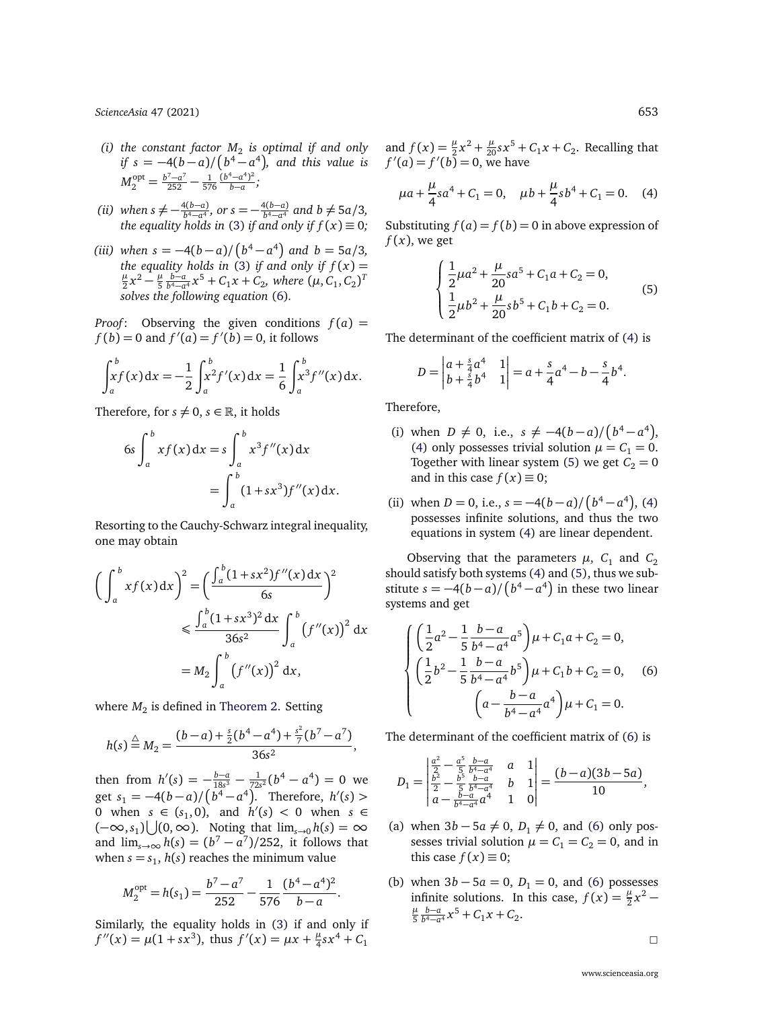*[ScienceAsia](http://www.scienceasia.org/)* 47 (2021) 653

- (*i*) the constant factor  $M_2$  is optimal if and only *if*  $s = -4(b-a)/(b^4 - a^4)$ , and this value is  $M_2^{\text{opt}} = \frac{b^7 - a^7}{252} - \frac{1}{576} \frac{(b^4 - a^4)^2}{b - a};$
- *(ii) when*  $s \neq -\frac{4(b-a)}{b^4 a^4}$ *, or*  $s = -\frac{4(b-a)}{b^4 a^4}$  *and*  $b \neq 5a/3$ *, the equality holds in* [\(3\)](#page-1-1) *if and only if*  $f(x) \equiv 0$ ;
- *(iii)* when  $s = -4(b-a)/(b^4 a^4)$  and  $b = 5a/3$ , *the equality holds in* [\(3\)](#page-1-1) *if and only if*  $f(x) = \mu x^2 + \mu b-a$   $x^5 + C$   $x + C$  where  $(\mu C, C)^T$  $\frac{\mu}{2}x^2 - \frac{\mu}{5}$  $\frac{\mu}{5} \frac{b-a}{b^4 - a^4} x^5 + C_1 x + C_2$ , where  $(\mu, C_1, C_2)^T$ *solves the following equation* [\(6\)](#page-2-0)*.*

*Proof*: Observing the given conditions  $f(a)$  =  $f(b) = 0$  and  $f'(a) = f'(b) = 0$ , it follows

$$
\int_a^b xf(x) dx = -\frac{1}{2} \int_a^b x^2 f'(x) dx = \frac{1}{6} \int_a^b x^3 f''(x) dx.
$$

Therefore, for  $s \neq 0$ ,  $s \in \mathbb{R}$ , it holds

$$
6s \int_{a}^{b} x f(x) dx = s \int_{a}^{b} x^{3} f''(x) dx
$$
  
= 
$$
\int_{a}^{b} (1 + sx^{3}) f''(x) dx.
$$

Resorting to the Cauchy-Schwarz integral inequality, one may obtain

$$
\left(\int_{a}^{b} xf(x) dx\right)^{2} = \left(\frac{\int_{a}^{b} (1 + sx^{2})f''(x) dx}{6s}\right)^{2}
$$

$$
\leq \frac{\int_{a}^{b} (1 + sx^{3})^{2} dx}{36s^{2}} \int_{a}^{b} (f''(x))^{2} dx
$$

$$
= M_{2} \int_{a}^{b} (f''(x))^{2} dx,
$$

where  $M_2$  is defined in [Theorem 2.](#page-1-2) Setting

$$
h(s) \stackrel{\triangle}{=} M_2 = \frac{(b-a) + \frac{s}{2}(b^4 - a^4) + \frac{s^2}{7}(b^7 - a^7)}{36s^2},
$$

then from  $h'(s) = -\frac{b-a}{18s^3} - \frac{1}{72s^2}(b^4 - a^4) = 0$  we get  $s_1 = -4(b-a)/(\overline{b^4 - a^4})$ . Therefore,  $h'(s)$ 0 when  $s \in (s_1, 0)$ , and  $h'(s) < 0$  when  $s \in$  $(-\infty, s_1) \bigcup (0, \infty)$ . Noting that  $\lim_{s \to 0} h(s) = \infty$ and  $\lim_{s\to\infty} h(s) = (b^7 - a^7)/252$ , it follows that when  $s = s_1$ ,  $h(s)$  reaches the minimum value

$$
M_2^{\text{opt}} = h(s_1) = \frac{b^7 - a^7}{252} - \frac{1}{576} \frac{(b^4 - a^4)^2}{b - a}.
$$

Similarly, the equality holds in [\(3\)](#page-1-1) if and only if  $f''(x) = \mu(1 + sx^3)$ , thus  $f'(x) = \mu x + \frac{\mu}{4}$  $\frac{\mu}{4}$ sx<sup>4</sup> +  $C_1$ 

and  $f(x) = \frac{\mu}{2}x^2 + \frac{\mu}{20}sx^5 + C_1x + C_2$ . Recalling that  $f'(a) = f'(b) = 0$ , we have

<span id="page-2-1"></span>
$$
\mu a + \frac{\mu}{4}sa^4 + C_1 = 0
$$
,  $\mu b + \frac{\mu}{4}sb^4 + C_1 = 0$ . (4)

Substituting  $f(a) = f(b) = 0$  in above expression of  $f(x)$ , we get

<span id="page-2-2"></span>
$$
\begin{cases} \frac{1}{2}\mu a^2 + \frac{\mu}{20}sa^5 + C_1a + C_2 = 0, \\ \frac{1}{2}\mu b^2 + \frac{\mu}{20}sb^5 + C_1b + C_2 = 0. \end{cases}
$$
(5)

The determinant of the coefficient matrix of [\(4\)](#page-2-1) is

$$
D = \begin{vmatrix} a + \frac{s}{4}a^4 & 1 \\ b + \frac{s}{4}b^4 & 1 \end{vmatrix} = a + \frac{s}{4}a^4 - b - \frac{s}{4}b^4.
$$

Therefore,

- (i) when  $D \neq 0$ , i.e.,  $s \neq -4(b-a)/(b^4-a^4)$ , [\(4\)](#page-2-1) only possesses trivial solution  $\mu = C_1 = 0$ . Together with linear system [\(5\)](#page-2-2) we get  $C_2 = 0$ and in this case  $f(x) \equiv 0$ ;
- (ii) when  $D = 0$ , i.e.,  $s = -4(b-a)/(b^4 a^4)$ , [\(4\)](#page-2-1) possesses infinite solutions, and thus the two equations in system [\(4\)](#page-2-1) are linear dependent.

Observing that the parameters  $\mu$ ,  $C_1$  and  $C_2$ should satisfy both systems [\(4\)](#page-2-1) and [\(5\)](#page-2-2), thus we substitute  $s = -4(b-a)/\left(b^4-a^4\right)$  in these two linear systems and get

<span id="page-2-0"></span>
$$
\begin{cases} \left(\frac{1}{2}a^2 - \frac{1}{5}\frac{b-a}{b^4 - a^4}a^5\right)\mu + C_1a + C_2 = 0, \\ \left(\frac{1}{2}b^2 - \frac{1}{5}\frac{b-a}{b^4 - a^4}b^5\right)\mu + C_1b + C_2 = 0, \\ \left(a - \frac{b-a}{b^4 - a^4}a^4\right)\mu + C_1 = 0. \end{cases}
$$
 (6)

The determinant of the coefficient matrix of [\(6\)](#page-2-0) is

$$
D_1 = \begin{vmatrix} \frac{a^2}{2} - \frac{a^5}{5} \frac{b-a}{b^4 - a^4} & a & 1\\ \frac{b^2}{2} - \frac{b^5}{5} \frac{b-a}{b^4 - a^4} & b & 1\\ a - \frac{b-a}{b^4 - a^4} & 1 & 0 \end{vmatrix} = \frac{(b-a)(3b-5a)}{10},
$$

- (a) when  $3b 5a \neq 0$ ,  $D_1 \neq 0$ , and [\(6\)](#page-2-0) only possesses trivial solution  $\mu = C_1 = C_2 = 0$ , and in this case  $f(x) \equiv 0$ ;
- (b) when  $3b 5a = 0$ ,  $D_1 = 0$ , and [\(6\)](#page-2-0) possesses infinite solutions. In this case,  $f(x) = \frac{\mu}{2}x^2$ *µ*  $\frac{\mu}{5} \frac{b-a}{b^4-a^4} x^5 + C_1 x + C_2.$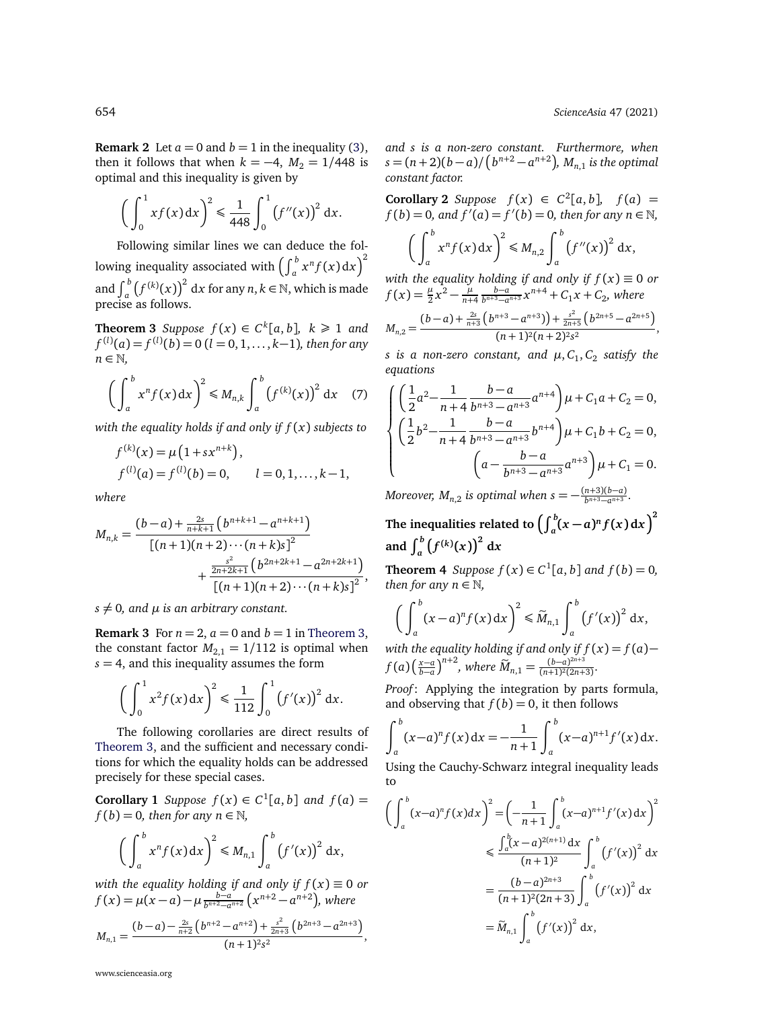**Remark 2** Let  $a = 0$  and  $b = 1$  in the inequality [\(3\)](#page-1-1), then it follows that when  $k = -4$ ,  $M_2 = 1/448$  is optimal and this inequality is given by

$$
\left(\int_0^1 x f(x) \, \mathrm{d} x\right)^2 \leq \frac{1}{448} \int_0^1 \left(f''(x)\right)^2 \, \mathrm{d} x.
$$

Following similar lines we can deduce the following inequality associated with  $\left(\int_a^b x^n f(x) \,\mathrm{d} x\right)^2$ and  $\int_a^b (f^{(k)}(x))^2 dx$  for any  $n, k \in \mathbb{N}$ , which is made precise as follows.

<span id="page-3-0"></span>**Theorem 3** Suppose  $f(x) \in C^k[a, b]$ ,  $k \ge 1$  and *f* (*l*) (*a*) = *f* (*l*) (*b*) = 0 (*l* = 0, 1, . . . , *k*−1)*, then for any n* ∈ N*,*

$$
\left(\int_a^b x^n f(x) dx\right)^2 \leq M_{n,k} \int_a^b \left(f^{(k)}(x)\right)^2 dx \quad (7)
$$

*with the equality holds if and only if f* (*x*) *subjects to*

$$
f^{(k)}(x) = \mu(1 + sx^{n+k}),
$$
  
\n
$$
f^{(l)}(a) = f^{(l)}(b) = 0, \qquad l = 0, 1, ..., k-1,
$$

*where*

$$
M_{n,k} = \frac{(b-a) + \frac{2s}{n+k+1} (b^{n+k+1} - a^{n+k+1})}{[(n+1)(n+2)\cdots(n+k)s]^2} + \frac{\frac{s^2}{2n+2k+1} (b^{2n+2k+1} - a^{2n+2k+1})}{[(n+1)(n+2)\cdots(n+k)s]^2},
$$

 $s \neq 0$ , and  $\mu$  *is an arbitrary constant.* 

**Remark 3** For  $n = 2$ ,  $a = 0$  and  $b = 1$  in [Theorem 3,](#page-3-0) the constant factor  $M_{2,1} = 1/112$  is optimal when  $s = 4$ , and this inequality assumes the form

$$
\left(\int_0^1 x^2 f(x) dx\right)^2 \leq \frac{1}{112} \int_0^1 \left(f'(x)\right)^2 dx.
$$

The following corollaries are direct results of [Theorem 3,](#page-3-0) and the sufficient and necessary conditions for which the equality holds can be addressed precisely for these special cases.

**Corollary 1** *Suppose*  $f(x) \in C^1[a, b]$  *and*  $f(a) =$  $f(b) = 0$ *, then for any n*  $\in \mathbb{N}$ *,* 

$$
\left(\int_a^b x^n f(x) dx\right)^2 \leq M_{n,1} \int_a^b \left(f'(x)\right)^2 dx,
$$

*with the equality holding if and only if f* (*x*) ≡ 0 *or f*(*x*) =  $\mu(x-a) - \mu \frac{b-a}{b^{n+2}-a^{n+2}} (x^{n+2}-a^{n+2}),$  where

$$
M_{n,1}=\frac{(b-a)-\frac{2s}{n+2}\left(b^{n+2}-a^{n+2}\right)+\frac{s^2}{2n+3}\left(b^{2n+3}-a^{2n+3}\right)}{(n+1)^2s^2}
$$

,

*and s is a non-zero constant. Furthermore, when*  $s = (n+2)(b-a)/(b^{n+2}-a^{n+2}), M_{n,1}$  *is the optimal constant factor.*

**Corollary 2** *Suppose*  $f(x) \in C^2[a, b]$ ,  $f(a) =$ *f* (*b*) = 0, and  $f'(a) = f'(b) = 0$ , then for any  $n \in \mathbb{N}$ ,  $\int_0^b$ *a*  $x^n f(x) dx$  $\bigg\}^2 \leqslant M_{n,2} \bigg\}^b$ *a*  $(f''(x))^2 dx$ ,

*with the equality holding if and only if f* (*x*) ≡ 0 *or*  $f(x) = \frac{\mu}{2}x^2 - \frac{\mu}{n+1}$ *n*+4  $\frac{b-a}{b^{n+3}-a^{n+3}}x^{n+4} + C_1x + C_2$ , where  $M_{n,2} = \frac{(b-a)+\frac{2s}{n+3} (b^{n+3}-a^{n+3}) + \frac{s^2}{2n+3}}{(n+1)^2(n+2)^2s}$  $\frac{s^2}{2n+5}$   $\left(b^{2n+5} - a^{2n+5}\right)$  $\frac{2n+3}{(n+1)^2(n+2)^2s^2}$ ,

 $s$  is a non-zero constant, and  $\mu,C_1,C_2$  satisfy the *equations*

$$
\begin{cases} \left(\frac{1}{2}a^2 - \frac{1}{n+4}\frac{b-a}{b^{n+3}-a^{n+3}}a^{n+4}\right)\mu + C_1a + C_2 = 0, \\ \left(\frac{1}{2}b^2 - \frac{1}{n+4}\frac{b-a}{b^{n+3}-a^{n+3}}b^{n+4}\right)\mu + C_1b + C_2 = 0, \\ \left(a - \frac{b-a}{b^{n+3}-a^{n+3}}a^{n+3}\right)\mu + C_1 = 0. \end{cases}
$$

*Moreover,*  $M_{n,2}$  *is optimal when*  $s = -\frac{(n+3)(b-a)}{b^{n+3}-a^{n+3}}$ .

The inequalities related to  $\left(\int_a^b (x-a)^n f(x) \,\mathrm{d}x\right)^2$ and  $\int_{a}^{b} (f^{(k)}(x))^{2} dx$ 

<span id="page-3-1"></span>**Theorem 4** *Suppose*  $f(x) \in C^1[a, b]$  *and*  $f(b) = 0$ *, then for any n*  $\in$  N,

$$
\bigg(\int_a^b (x-a)^n f(x) dx\bigg)^2 \leq \widetilde{M}_{n,1} \int_a^b \big(f'(x)\big)^2 dx,
$$

*with the equality holding if and only if f* (*x*) = *f* (*a*)− *f*(*a*) $\left(\frac{x-a}{b-a}\right)^{n+2}$ , where  $\widetilde{M}_{n,1} = \frac{(b-a)^{2n+3}}{(n+1)^2(2n+1)}$  $\frac{(b-a)}{(n+1)^2(2n+3)}$ 

*Proof*: Applying the integration by parts formula, and observing that  $f(b) = 0$ , it then follows

$$
\int_a^b (x-a)^n f(x) dx = -\frac{1}{n+1} \int_a^b (x-a)^{n+1} f'(x) dx.
$$

Using the Cauchy-Schwarz integral inequality leads to

$$
\left(\int_{a}^{b} (x-a)^{n} f(x) dx\right)^{2} = \left(-\frac{1}{n+1} \int_{a}^{b} (x-a)^{n+1} f'(x) dx\right)^{2}
$$
  

$$
\leq \frac{\int_{a}^{b} (x-a)^{2(n+1)} dx}{(n+1)^{2}} \int_{a}^{b} (f'(x))^{2} dx
$$
  

$$
= \frac{(b-a)^{2n+3}}{(n+1)^{2}(2n+3)} \int_{a}^{b} (f'(x))^{2} dx
$$
  

$$
= \widetilde{M}_{n,1} \int_{a}^{b} (f'(x))^{2} dx,
$$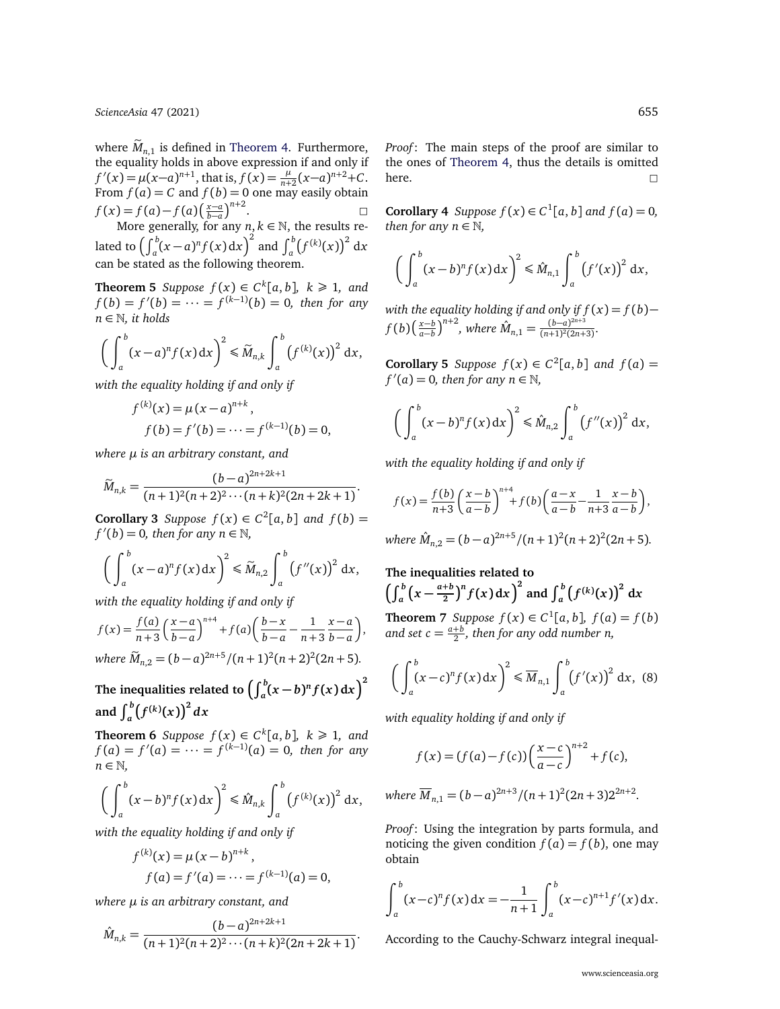*[ScienceAsia](http://www.scienceasia.org/)* 47 (2021) 655

where  $\widetilde{M}_{n,1}$  is defined in [Theorem 4.](#page-3-1) Furthermore, the equality holds in above expression if and only if  $f'(x) = \mu(x-a)^{n+1}$ , that is,  $f(x) = \frac{\mu}{n+2}(x-a)^{n+2} + C$ . From  $f(a) = C$  and  $f(b) = 0$  one may easily obtain  $f(x) = f(a) - f(a) \left(\frac{x-a}{b-a}\right)^{n+2}$  $= f(a) - f(a) \left( \frac{x-a}{b-a} \right)^{n+2}$ . □<br>More generally, for any *n*, *k* ∈ N, the results related to  $\left(\int_a^b (x-a)^n f(x) dx\right)^2$  and  $\int_a^b (f^{(k)}(x))^2 dx$ 

can be stated as the following theorem.

**Theorem 5** *Suppose*  $f(x) \in C^k[a, b]$ ,  $k \ge 1$ , and  $f(b) = f'(b) = \cdots = f^{(k-1)}(b) = 0$ , then for any *n* ∈ N*, it holds*

$$
\left(\int_a^b (x-a)^n f(x) \, dx\right)^2 \leq \widetilde{M}_{n,k} \int_a^b \left(f^{(k)}(x)\right)^2 \, dx,
$$

*with the equality holding if and only if*

$$
f^{(k)}(x) = \mu (x - a)^{n+k},
$$
  
 
$$
f(b) = f'(b) = \dots = f^{(k-1)}(b) = 0,
$$

*where µ is an arbitrary constant, and*

$$
\widetilde{M}_{n,k} = \frac{(b-a)^{2n+2k+1}}{(n+1)^2(n+2)^2 \cdots (n+k)^2(2n+2k+1)}
$$

**Corollary 3** *Suppose*  $f(x) \in C^2[a, b]$  *and*  $f(b) =$  $f'(b) = 0$ , then for any  $n \in \mathbb{N}$ ,

$$
\left(\int_a^b (x-a)^n f(x) dx\right)^2 \leq \widetilde{M}_{n,2} \int_a^b \left(f''(x)\right)^2 dx,
$$

*with the equality holding if and only if*

$$
f(x) = \frac{f(a)}{n+3} \left(\frac{x-a}{b-a}\right)^{n+4} + f(a) \left(\frac{b-x}{b-a} - \frac{1}{n+3} \frac{x-a}{b-a}\right),
$$
  
where  $\widetilde{M}_{n,2} = (b-a)^{2n+5} / (n+1)^2 (n+2)^2 (2n+5).$ 

The inequalities related to  $\left(\int_{a}^{b}\!(x-b)^{n}f(x)\,\mathrm{d}x\right)^{2}$ and  $\int_{a}^{b} (f^{(k)}(x))^{2} dx$ 

**Theorem 6** *Suppose*  $f(x) \in C^k[a, b]$ ,  $k \ge 1$ , and  $f(a) = f'(a) = \cdots = f^{(k-1)}(a) = 0$ , then for any *n* ∈ N*,*

$$
\left(\int_a^b (x-b)^n f(x) dx\right)^2 \leq \hat{M}_{n,k} \int_a^b \left(f^{(k)}(x)\right)^2 dx,
$$

*with the equality holding if and only if*

$$
f^{(k)}(x) = \mu (x - b)^{n+k},
$$
  
 
$$
f(a) = f'(a) = \dots = f^{(k-1)}(a) = 0,
$$

*where µ is an arbitrary constant, and*

$$
\hat{M}_{n,k} = \frac{(b-a)^{2n+2k+1}}{(n+1)^2(n+2)^2\cdots(n+k)^2(2n+2k+1)}.
$$

*Proof*: The main steps of the proof are similar to the ones of [Theorem 4,](#page-3-1) thus the details is omitted here.  $\square$ 

**Corollary 4** *Suppose*  $f(x) \in C^1[a, b]$  *and*  $f(a) = 0$ *, then for any n*  $\in$  N,

$$
\left(\int_a^b (x-b)^n f(x) dx\right)^2 \leq \hat{M}_{n,1} \int_a^b \left(f'(x)\right)^2 dx,
$$

*with the equality holding if and only if f* (*x*) = *f* (*b*)− *f*(*b*) $\left(\frac{x-b}{a-b}\right)^{n+2}$ , where  $\hat{M}_{n,1} = \frac{(b-a)^{2n+3}}{(n+1)^2(2n+1)}$  $\frac{(b-a)}{(n+1)^2(2n+3)}$ 

**Corollary 5** *Suppose*  $f(x) \in C^2[a, b]$  *and*  $f(a) =$  $f'(a) = 0$ , then for any  $n \in \mathbb{N}$ ,

$$
\left(\int_a^b (x-b)^n f(x) dx\right)^2 \leq \hat{M}_{n,2} \int_a^b \left(f''(x)\right)^2 dx,
$$

*with the equality holding if and only if*

.

$$
f(x) = \frac{f(b)}{n+3} \left(\frac{x-b}{a-b}\right)^{n+4} + f(b) \left(\frac{a-x}{a-b} - \frac{1}{n+3} \frac{x-b}{a-b}\right)
$$

*where*  $\hat{M}_{n,2} = (b-a)^{2n+5}/(n+1)^2(n+2)^2(2n+5)$ *.* 

<span id="page-4-0"></span>The inequalities related to  
\n
$$
\left(\int_a^b \left(x - \frac{a+b}{2}\right)^n f(x) dx\right)^2
$$
 and 
$$
\int_a^b \left(f^{(k)}(x)\right)^2 dx
$$
\nTheorem 7 Suppose  $f(x) \in C^1[a, b], f(a) = f(b)$   
\nand set  $c = \frac{a+b}{2}$ , then for any odd number n,

<span id="page-4-1"></span>
$$
\left(\int_a^b (x-c)^n f(x) dx\right)^2 \leq \overline{M}_{n,1} \int_a^b \left(f'(x)\right)^2 dx, \quad (8)
$$

*with equality holding if and only if*

$$
f(x) = (f(a) - f(c)) \left( \frac{x - c}{a - c} \right)^{n+2} + f(c),
$$

where 
$$
\overline{M}_{n,1} = (b-a)^{2n+3}/(n+1)^2(2n+3)2^{2n+2}
$$
.

*Proof*: Using the integration by parts formula, and noticing the given condition  $f(a) = f(b)$ , one may obtain

$$
\int_a^b (x-c)^n f(x) dx = -\frac{1}{n+1} \int_a^b (x-c)^{n+1} f'(x) dx.
$$

According to the Cauchy-Schwarz integral inequal-

,